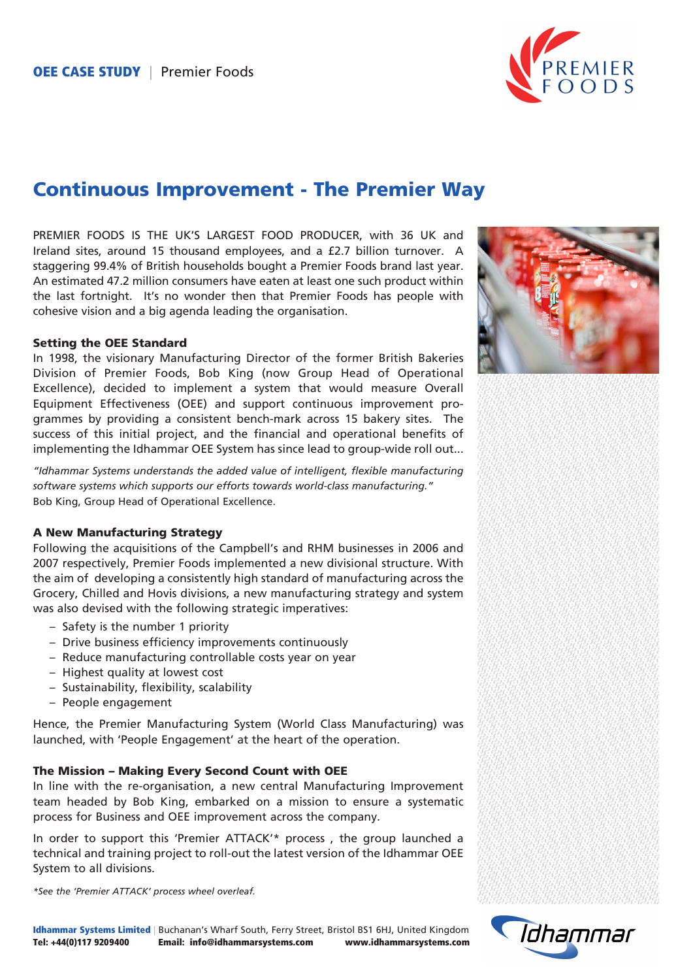

# Continuous Improvement - The Premier Way

PREMIER FOODS IS THE UK'S LARGEST FOOD PRODUCER, with 36 UK and Ireland sites, around 15 thousand employees, and a £2.7 billion turnover. A staggering 99.4% of British households bought a Premier Foods brand last year. An estimated 47.2 million consumers have eaten at least one such product within the last fortnight. It's no wonder then that Premier Foods has people with cohesive vision and a big agenda leading the organisation.

#### Setting the OEE Standard

In 1998, the visionary Manufacturing Director of the former British Bakeries Division of Premier Foods, Bob King (now Group Head of Operational Excellence), decided to implement a system that would measure Overall Equipment Effectiveness (OEE) and support continuous improvement programmes by providing a consistent bench-mark across 15 bakery sites. The success of this initial project, and the financial and operational benefits of implementing the Idhammar OEE System has since lead to group-wide roll out...

*"Idhammar Systems understands the added value of intelligent, flexible manufacturing software systems which supports our efforts towards world-class manufacturing."* Bob King, Group Head of Operational Excellence.

# A New Manufacturing Strategy

Following the acquisitions of the Campbell's and RHM businesses in 2006 and 2007 respectively, Premier Foods implemented a new divisional structure. With the aim of developing a consistently high standard of manufacturing across the Grocery, Chilled and Hovis divisions, a new manufacturing strategy and system was also devised with the following strategic imperatives:

- Safety is the number 1 priority
- Drive business efficiency improvements continuously
- Reduce manufacturing controllable costs year on year
- Highest quality at lowest cost
- Sustainability, flexibility, scalability
- People engagement

Hence, the Premier Manufacturing System (World Class Manufacturing) was launched, with 'People Engagement' at the heart of the operation.

## The Mission – Making Every Second Count with OEE

In line with the re-organisation, a new central Manufacturing Improvement team headed by Bob King, embarked on a mission to ensure a systematic process for Business and OEE improvement across the company.

In order to support this 'Premier ATTACK'\* process , the group launched a technical and training project to roll-out the latest version of the Idhammar OEE System to all divisions.

*\*See the 'Premier ATTACK' process wheel overleaf.*



Idhammar Systems Limited | Buchanan's Wharf South, Ferry Street, Bristol BS1 6HJ, United Kingdom Tel: +44(0)117 9209400 Email: info@idhammarsystems.com www.idhammarsystems.com